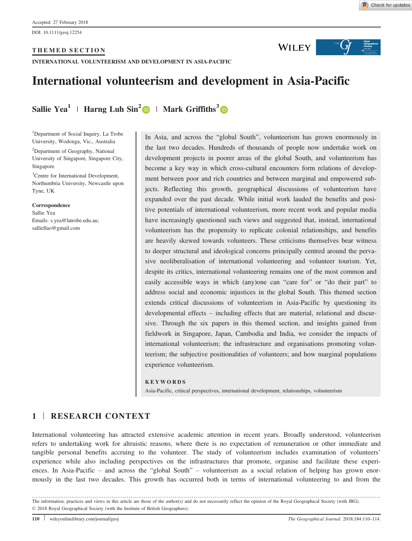DOI: 10.1111/geoj.12254

THEMED SECTION

INTERNATIONAL VOLUNTEERISM AND DEVELOPMENT IN ASIA-PACIFIC



WILEY

# International volunteerism and development in Asia-Pacific

Sallie Yea<sup>1</sup> | Harng Luh Sin<sup>[2](http://orcid.org/0000-0001-7850-993X)</sup> | Mark Griffiths<sup>3</sup>

<sup>1</sup>Department of Social Inquiry, La Trobe University, Wodonga, Vic., Australia 2 Department of Geography, National University of Singapore, Singapore City, Singapore

<sup>3</sup> Centre for International Development, Northumbria University, Newcastle upon Tyne, UK

Correspondence Sallie Yea Emails: s.yea@latrobe.edu.au; salliellao@gmail.com

In Asia, and across the "global South", volunteerism has grown enormously in the last two decades. Hundreds of thousands of people now undertake work on development projects in poorer areas of the global South, and volunteerism has become a key way in which cross-cultural encounters form relations of development between poor and rich countries and between marginal and empowered subjects. Reflecting this growth, geographical discussions of volunteerism have expanded over the past decade. While initial work lauded the benefits and positive potentials of international volunteerism, more recent work and popular media have increasingly questioned such views and suggested that, instead, international volunteerism has the propensity to replicate colonial relationships, and benefits are heavily skewed towards volunteers. These criticisms themselves bear witness to deeper structural and ideological concerns principally centred around the pervasive neoliberalisation of international volunteering and volunteer tourism. Yet, despite its critics, international volunteering remains one of the most common and easily accessible ways in which (any)one can "care for" or "do their part" to address social and economic injustices in the global South. This themed section extends critical discussions of volunteerism in Asia-Pacific by questioning its developmental effects – including effects that are material, relational and discursive. Through the six papers in this themed section, and insights gained from fieldwork in Singapore, Japan, Cambodia and India, we consider the impacts of international volunteerism; the infrastructure and organisations promoting volunteerism; the subjective positionalities of volunteers; and how marginal populations experience volunteerism.

#### KEYWORDS

Asia-Pacific, critical perspectives, international development, relationships, volunteerism

# 1 | RESEARCH CONTEXT

International volunteering has attracted extensive academic attention in recent years. Broadly understood, volunteerism refers to undertaking work for altruistic reasons, where there is no expectation of remuneration or other immediate and tangible personal benefits accruing to the volunteer. The study of volunteerism includes examination of volunteers' experience while also including perspectives on the infrastructures that promote, organise and facilitate these experiences. In Asia-Pacific – and across the "global South" – volunteerism as a social relation of helping has grown enormously in the last two decades. This growth has occurred both in terms of international volunteering to and from the

The information, practices and views in this article are those of the author(s) and do not necessarily reflect the opinion of the Royal Geographical Society (with IBG). © 2018 Royal Geographical Society (with the Institute of British Geographers).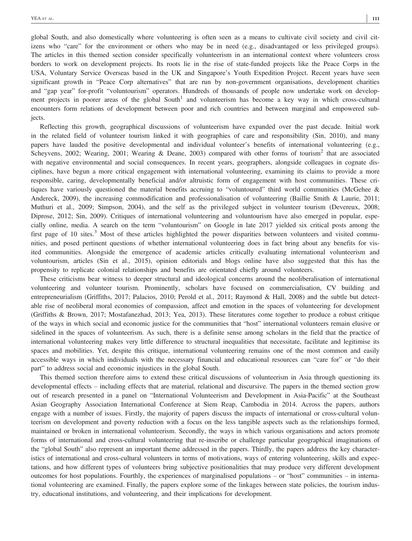global South, and also domestically where volunteering is often seen as a means to cultivate civil society and civil citizens who "care" for the environment or others who may be in need (e.g., disadvantaged or less privileged groups). The articles in this themed section consider specifically volunteerism in an international context where volunteers cross borders to work on development projects. Its roots lie in the rise of state-funded projects like the Peace Corps in the USA, Voluntary Service Overseas based in the UK and Singapore's Youth Expedition Project. Recent years have seen significant growth in "Peace Corp alternatives" that are run by non-government organisations, development charities and "gap year" for-profit "voluntourism" operators. Hundreds of thousands of people now undertake work on development projects in poorer areas of the global South<sup>1</sup> and volunteerism has become a key way in which cross-cultural encounters form relations of development between poor and rich countries and between marginal and empowered subjects.

Reflecting this growth, geographical discussions of volunteerism have expanded over the past decade. Initial work in the related field of volunteer tourism linked it with geographies of care and responsibility (Sin, 2010), and many papers have lauded the positive developmental and individual volunteer's benefits of international volunteering (e.g., Scheyvens, 2002; Wearing, 2001; Wearing & Deane, 2003) compared with other forms of tourism<sup>2</sup> that are associated with negative environmental and social consequences. In recent years, geographers, alongside colleagues in cognate disciplines, have begun a more critical engagement with international volunteering, examining its claims to provide a more responsible, caring, developmentally beneficial and/or altruistic form of engagement with host communities. These critiques have variously questioned the material benefits accruing to "voluntoured" third world communities (McGehee & Andereck, 2009), the increasing commodification and professionalisation of volunteering (Baillie Smith & Laurie, 2011; Muthuri et al., 2009; Simpson, 2004), and the self as the privileged subject in volunteer tourism (Devereux, 2008; Diprose, 2012; Sin, 2009). Critiques of international volunteering and voluntourism have also emerged in popular, especially online, media. A search on the term "voluntourism" on Google in late 2017 yielded six critical posts among the first page of 10 sites.<sup>3</sup> Most of these articles highlighted the power disparities between volunteers and visited communities, and posed pertinent questions of whether international volunteering does in fact bring about any benefits for visited communities. Alongside the emergence of academic articles critically evaluating international volunteerism and voluntourism, articles (Sin et al., 2015), opinion editorials and blogs online have also suggested that this has the propensity to replicate colonial relationships and benefits are orientated chiefly around volunteers.

These criticisms bear witness to deeper structural and ideological concerns around the neoliberalisation of international volunteering and volunteer tourism. Prominently, scholars have focused on commercialisation, CV building and entrepreneurialism (Griffiths, 2017; Palacios, 2010; Perold et al., 2011; Raymond & Hall, 2008) and the subtle but detectable rise of neoliberal moral economies of compassion, affect and emotion in the spaces of volunteering for development (Griffiths & Brown, 2017; Mostafanezhad, 2013; Yea, 2013). These literatures come together to produce a robust critique of the ways in which social and economic justice for the communities that "host" international volunteers remain elusive or sidelined in the spaces of volunteerism. As such, there is a definite sense among scholars in the field that the practice of international volunteering makes very little difference to structural inequalities that necessitate, facilitate and legitimise its spaces and mobilities. Yet, despite this critique, international volunteering remains one of the most common and easily accessible ways in which individuals with the necessary financial and educational resources can "care for" or "do their part" to address social and economic injustices in the global South.

This themed section therefore aims to extend these critical discussions of volunteerism in Asia through questioning its developmental effects – including effects that are material, relational and discursive. The papers in the themed section grow out of research presented in a panel on "International Volunteerism and Development in Asia-Pacific" at the Southeast Asian Geography Association International Conference at Siem Reap, Cambodia in 2014. Across the papers, authors engage with a number of issues. Firstly, the majority of papers discuss the impacts of international or cross-cultural volunteerism on development and poverty reduction with a focus on the less tangible aspects such as the relationships formed, maintained or broken in international volunteerism. Secondly, the ways in which various organisations and actors promote forms of international and cross-cultural volunteering that re-inscribe or challenge particular geographical imaginations of the "global South" also represent an important theme addressed in the papers. Thirdly, the papers address the key characteristics of international and cross-cultural volunteers in terms of motivations, ways of entering volunteering, skills and expectations, and how different types of volunteers bring subjective positionalities that may produce very different development outcomes for host populations. Fourthly, the experiences of marginalised populations – or "host" communities – in international volunteering are examined. Finally, the papers explore some of the linkages between state policies, the tourism industry, educational institutions, and volunteering, and their implications for development.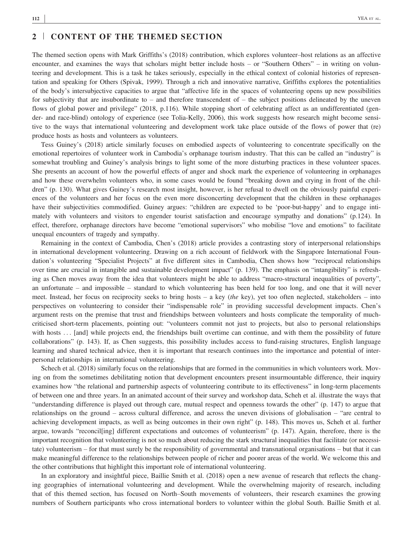## 2 | CONTENT OF THE THEMED SECTION

The themed section opens with Mark Griffiths's (2018) contribution, which explores volunteer–host relations as an affective encounter, and examines the ways that scholars might better include hosts – or "Southern Others" – in writing on volunteering and development. This is a task he takes seriously, especially in the ethical context of colonial histories of representation and speaking for Others (Spivak, 1999). Through a rich and innovative narrative, Griffiths explores the potentialities of the body's intersubjective capacities to argue that "affective life in the spaces of volunteering opens up new possibilities for subjectivity that are insubordinate to – and therefore transcendent of – the subject positions delineated by the uneven flows of global power and privilege" (2018, p.116). While stopping short of celebrating affect as an undifferentiated (gender- and race-blind) ontology of experience (see Tolia-Kelly, 2006), this work suggests how research might become sensitive to the ways that international volunteering and development work take place outside of the flows of power that (re) produce hosts as hosts and volunteers as volunteers.

Tess Guiney's (2018) article similarly focuses on embodied aspects of volunteering to concentrate specifically on the emotional repertoires of volunteer work in Cambodia's orphanage tourism industry. That this can be called an "industry" is somewhat troubling and Guiney's analysis brings to light some of the more disturbing practices in these volunteer spaces. She presents an account of how the powerful effects of anger and shock mark the experience of volunteering in orphanages and how these overwhelm volunteers who, in some cases would be found "breaking down and crying in front of the children" (p. 130). What gives Guiney's research most insight, however, is her refusal to dwell on the obviously painful experiences of the volunteers and her focus on the even more disconcerting development that the children in these orphanages have their subjectivities commodified. Guiney argues: "children are expected to be 'poor-but-happy' and to engage intimately with volunteers and visitors to engender tourist satisfaction and encourage sympathy and donations" (p.124). In effect, therefore, orphanage directors have become "emotional supervisors" who mobilise "love and emotions" to facilitate unequal encounters of tragedy and sympathy.

Remaining in the context of Cambodia, Chen's (2018) article provides a contrasting story of interpersonal relationships in international development volunteering. Drawing on a rich account of fieldwork with the Singapore International Foundation's volunteering "Specialist Projects" at five different sites in Cambodia, Chen shows how "reciprocal relationships over time are crucial in intangible and sustainable development impact" (p. 139). The emphasis on "intangibility" is refreshing as Chen moves away from the idea that volunteers might be able to address "macro-structural inequalities of poverty", an unfortunate – and impossible – standard to which volunteering has been held for too long, and one that it will never meet. Instead, her focus on reciprocity seeks to bring hosts – a key (the key), yet too often neglected, stakeholders – into perspectives on volunteering to consider their "indispensable role" in providing successful development impacts. Chen's argument rests on the premise that trust and friendships between volunteers and hosts complicate the temporality of muchcriticised short-term placements, pointing out: "volunteers commit not just to projects, but also to personal relationships with hosts ... [and] while projects end, the friendships built overtime can continue, and with them the possibility of future collaborations" (p. 143). If, as Chen suggests, this possibility includes access to fund-raising structures, English language learning and shared technical advice, then it is important that research continues into the importance and potential of interpersonal relationships in international volunteering.

Schech et al. (2018) similarly focus on the relationships that are formed in the communities in which volunteers work. Moving on from the sometimes debilitating notion that development encounters present insurmountable difference, their inquiry examines how "the relational and partnership aspects of volunteering contribute to its effectiveness" in long-term placements of between one and three years. In an animated account of their survey and workshop data, Scheh et al. illustrate the ways that "understanding difference is played out through care, mutual respect and openness towards the other" (p. 147) to argue that relationships on the ground – across cultural difference, and across the uneven divisions of globalisation – "are central to achieving development impacts, as well as being outcomes in their own right" (p. 148). This moves us, Scheh et al. further argue, towards "reconcil[ing] different expectations and outcomes of volunteerism" (p. 147). Again, therefore, there is the important recognition that volunteering is not so much about reducing the stark structural inequalities that facilitate (or necessitate) volunteerism – for that must surely be the responsibility of governmental and transnational organisations – but that it can make meaningful difference to the relationships between people of richer and poorer areas of the world. We welcome this and the other contributions that highlight this important role of international volunteering.

In an exploratory and insightful piece, Baillie Smith et al. (2018) open a new avenue of research that reflects the changing geographies of international volunteering and development. While the overwhelming majority of research, including that of this themed section, has focused on North–South movements of volunteers, their research examines the growing numbers of Southern participants who cross international borders to volunteer within the global South. Baillie Smith et al.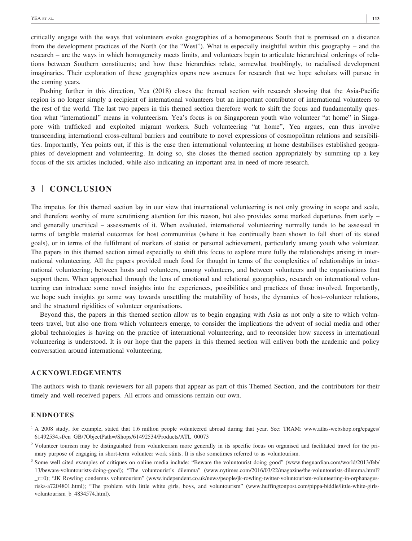critically engage with the ways that volunteers evoke geographies of a homogeneous South that is premised on a distance from the development practices of the North (or the "West"). What is especially insightful within this geography – and the research – are the ways in which homogeneity meets limits, and volunteers begin to articulate hierarchical orderings of relations between Southern constituents; and how these hierarchies relate, somewhat troublingly, to racialised development imaginaries. Their exploration of these geographies opens new avenues for research that we hope scholars will pursue in the coming years.

Pushing further in this direction, Yea (2018) closes the themed section with research showing that the Asia-Pacific region is no longer simply a recipient of international volunteers but an important contributor of international volunteers to the rest of the world. The last two papers in this themed section therefore work to shift the focus and fundamentally question what "international" means in volunteerism. Yea's focus is on Singaporean youth who volunteer "at home" in Singapore with trafficked and exploited migrant workers. Such volunteering "at home", Yea argues, can thus involve transcending international cross-cultural barriers and contribute to novel expressions of cosmopolitan relations and sensibilities. Importantly, Yea points out, if this is the case then international volunteering at home destabilises established geographies of development and volunteering. In doing so, she closes the themed section appropriately by summing up a key focus of the six articles included, while also indicating an important area in need of more research.

# 3 | CONCLUSION

The impetus for this themed section lay in our view that international volunteering is not only growing in scope and scale, and therefore worthy of more scrutinising attention for this reason, but also provides some marked departures from early – and generally uncritical – assessments of it. When evaluated, international volunteering normally tends to be assessed in terms of tangible material outcomes for host communities (where it has continually been shown to fall short of its stated goals), or in terms of the fulfilment of markers of statist or personal achievement, particularly among youth who volunteer. The papers in this themed section aimed especially to shift this focus to explore more fully the relationships arising in international volunteering. All the papers provided much food for thought in terms of the complexities of relationships in international volunteering; between hosts and volunteers, among volunteers, and between volunteers and the organisations that support them. When approached through the lens of emotional and relational geographies, research on international volunteering can introduce some novel insights into the experiences, possibilities and practices of those involved. Importantly, we hope such insights go some way towards unsettling the mutability of hosts, the dynamics of host–volunteer relations, and the structural rigidities of volunteer organisations.

Beyond this, the papers in this themed section allow us to begin engaging with Asia as not only a site to which volunteers travel, but also one from which volunteers emerge, to consider the implications the advent of social media and other global technologies is having on the practice of international volunteering, and to reconsider how success in international volunteering is understood. It is our hope that the papers in this themed section will enliven both the academic and policy conversation around international volunteering.

#### ACKNOWLEDGEMENTS

The authors wish to thank reviewers for all papers that appear as part of this Themed Section, and the contributors for their timely and well-received papers. All errors and omissions remain our own.

#### ENDNOTES

- <sup>1</sup> A 2008 study, for example, stated that 1.6 million people volunteered abroad during that year. See: TRAM: [www.atlas-webshop.org/epages/](http://www.atlas-webshop.org/epages/61492534.sf/en_GB/?ObjectPath=/Shops/61492534/Products/ATL_00073) [61492534.sf/en\\_GB/?ObjectPath=/Shops/61492534/Products/ATL\\_00073](http://www.atlas-webshop.org/epages/61492534.sf/en_GB/?ObjectPath=/Shops/61492534/Products/ATL_00073)
- <sup>2</sup> Volunteer tourism may be distinguished from volunteerism more generally in its specific focus on organised and facilitated travel for the primary purpose of engaging in short-term volunteer work stints. It is also sometimes referred to as voluntourism.
- <sup>3</sup> Some well cited examples of critiques on online media include: "Beware the voluntourist doing good" ([www.theguardian.com/world/2013/feb/](http://www.theguardian.com/world/2013/feb/13/beware-voluntourists-doing-good) [13/beware-voluntourists-doing-good](http://www.theguardian.com/world/2013/feb/13/beware-voluntourists-doing-good)); "The voluntourist's dilemma" ([www.nytimes.com/2016/03/22/magazine/the-voluntourists-dilemma.html?](http://www.nytimes.com/2016/03/22/magazine/the-voluntourists-dilemma.html?_r=0) [\\_r=0\)](http://www.nytimes.com/2016/03/22/magazine/the-voluntourists-dilemma.html?_r=0); "JK Rowling condemns voluntourism" [\(www.independent.co.uk/news/people/jk-rowling-twitter-voluntourism-volunteering-in-orphanages](http://www.independent.co.uk/news/people/jk-rowling-twitter-voluntourism-volunteering-in-orphanages-risks-a7204801.html)[risks-a7204801.html](http://www.independent.co.uk/news/people/jk-rowling-twitter-voluntourism-volunteering-in-orphanages-risks-a7204801.html)); "The problem with little white girls, boys, and voluntourism" [\(www.huffingtonpost.com/pippa-biddle/little-white-girls](http://www.huffingtonpost.com/pippa-biddle/little-white-girls-voluntourism_b_4834574.html)[voluntourism\\_b\\_4834574.html\)](http://www.huffingtonpost.com/pippa-biddle/little-white-girls-voluntourism_b_4834574.html).